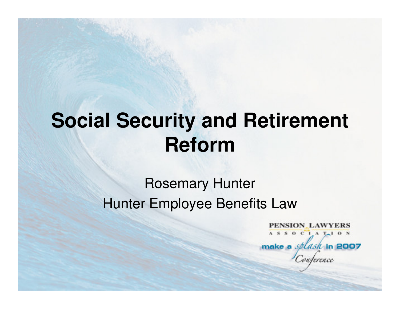## **Social Security and Retirement Reform**

### Rosemary HunterHunter Employee Benefits Law

PENSION LAWYERS ASSOCIATION make a *splash* in 2007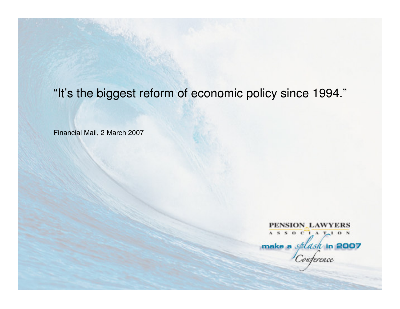### "It's the biggest reform of economic policy since 1994."

Financial Mail, 2 March 2007

PENSION\_LAWYERS ASSOCIAT<sub>1</sub> ON make a *splask* in 2007 wterence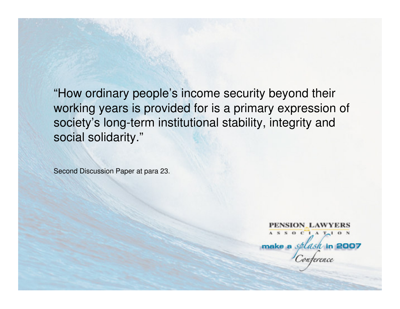"How ordinary people's income security beyond their working years is provided for is a primary expression of society's long-term institutional stability, integrity and social solidarity."

Second Discussion Paper at para 23.

PENSION LAWYERS ASSOCIATION make a *splask* in 2007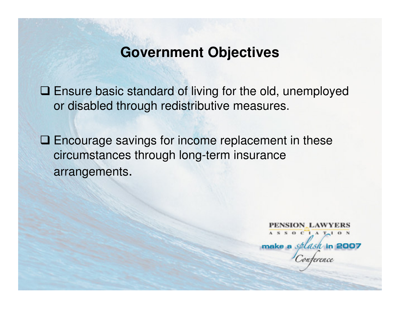### **Government Objectives**

□ Ensure basic standard of living for the old, unemployed<br>exidention through redistributive measures or disabled through redistributive measures.

□ Encourage savings for income replacement in these circumstances through long-term insurance arrangements.

> PENSION LAWYERS  $A S S 0 C 1 A T<sub>1</sub> 0 N$ make a *splash* in 2007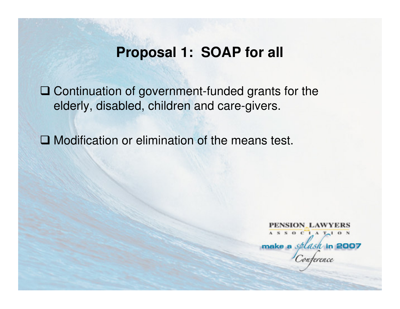### **Proposal 1: SOAP for all**

□ Continuation of government-funded grants for the alderly disabled children and care givers elderly, disabled, children and care-givers.

□ Modification or elimination of the means test.

PENSION LAWYERS ASSOCIATION make a *splash* in 2007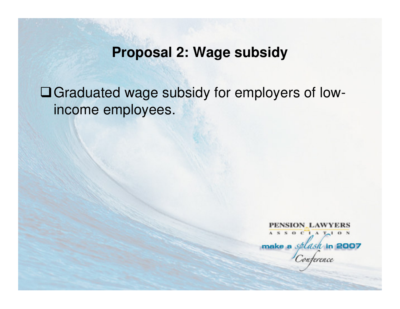### **Proposal 2: Wage subsidy**

Graduated wage subsidy for employers of lowincome employees.

**PENSION LAWYERS** ASSOCIATION make a *splask* in 2007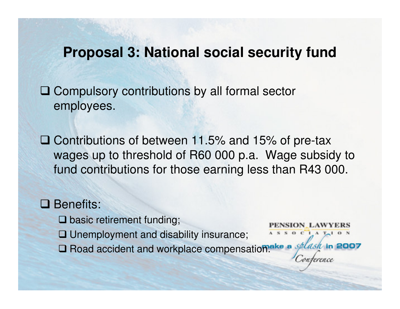### **Proposal 3: National social security fund**

□ Compulsory contributions by all formal sector employees.

Contributions of between 11.5% and 15% of pre-tax wages up to threshold of R60 000 p.a. Wage subsidy to fund contributions for those earning less than R43 000.

## **Benefits:**

- **Q** basic retirement funding;
- **Q** Unemployment and disability insurance;
- **□ Road accident and workplace compensation.**

 $S$  O C I A T<sub>-1</sub> O N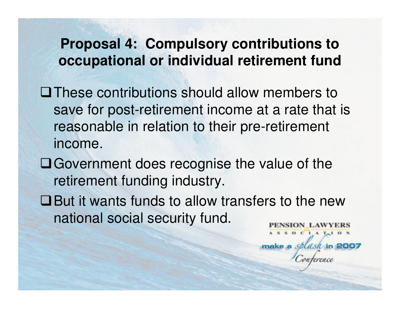### **Proposal 4: Compulsory contributions to occupational or individual retirement fund**

- These contributions should allow members to save for post-retirement income at a rate that is reasonable in relation to their pre-retirement income.
- Government does recognise the value of the retirement funding industry.
- But it wants funds to allow transfers to the new national social security fund.VSION LAWYERS

 $S$  O C  $I$  A  $T-1$  O N

make a splash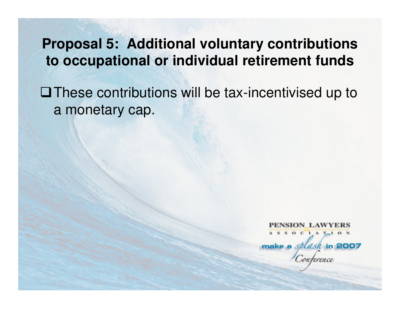### **Proposal 5: Additional voluntary contributions to occupational or individual retirement funds**

These contributions will be tax-incentivised up to a monetary cap.

PENSION\_LAWYERS  $A S S 0 C 1 A T<sub>1</sub> 0 N$ make a *splash* in 2007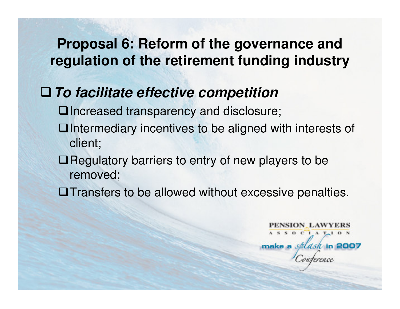### **To facilitate effective competition**

Increased transparency and disclosure;

- $\Box$ Intermediary incentives to be aligned with interests of client;
- $\Box$  Regulatory barriers to entry of new players to be removed;
- **Outary** Transfers to be allowed without excessive penalties.

NSION LAWYERS  $S$  O C I A T<sub>r</sub> I O N make a splash in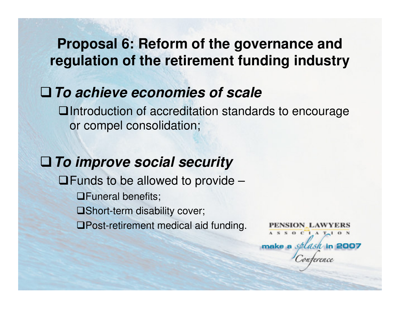### **To achieve economies of scale**

**□Introduction of accreditation standards to encourage** or compel consolidation;

**To improve social security□Funds to be allowed to provide – QFuneral benefits;** Short-term disability cover;Post-retirement medical aid funding.

NSION LAWYERS  $S$  O C I A T<sub>-1</sub> O N make a selash in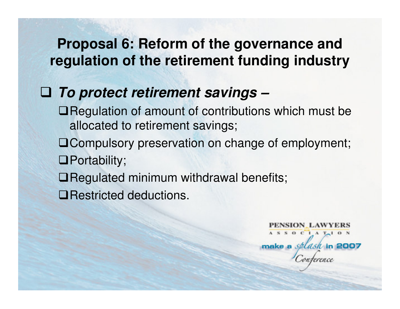# **To protect retirement savings –**

- ■Regulation of amount of contributions which must be allocated to retirement savings;
- Compulsory preservation on change of employment;**O**Portability;
- ■Regulated minimum withdrawal benefits;

**□Restricted deductions.** 

NSION LAWYERS ASSOCIATION make a *splasi* in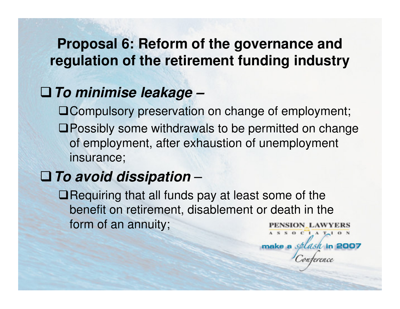### **To minimise leakage –**

 Compulsory preservation on change of employment;Possibly some withdrawals to be permitted on change of employment, after exhaustion of unemployment insurance;

#### **To avoid dissipation**–

 $\square$  Requiring that all funds pay at least some of the benefit on retirement, disablement or death in the form of an annuity;SION\_LAWYERS  $A S S O C A T<sub>1</sub> O S$ 

make a splash in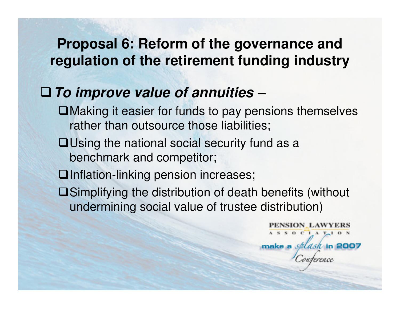### **To improve value of annuities –**

- Making it easier for funds to pay pensions themselves rather than outsource those liabilities;
- $\Box$ Using the national social security fund as a benchmark and competitor;
- □Inflation-linking pension increases;
- Simplifying the distribution of death benefits (without undermining social value of trustee distribution)

PENSION LAWYERS  $S$  O C I A T<sub>1</sub> I O N make a splash in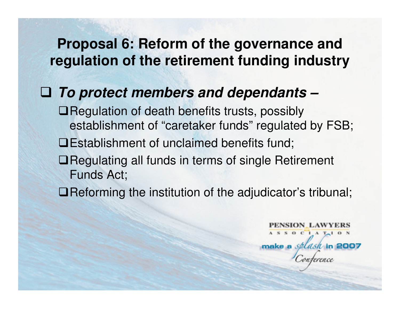# **To protect members and dependants –**

- ■Regulation of death benefits trusts, possibly establishment of "caretaker funds" regulated by FSB; Establishment of unclaimed benefits fund;**□Regulating all funds in terms of single Retirement** Funds Act;
- ■Reforming the institution of the adjudicator's tribunal;

NSION LAWYERS  $S$  O C  $1$  A  $T-1$  O N make a splash in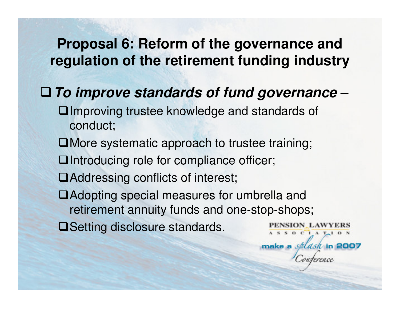#### **To improve standards of fund governance**–

- Improving trustee knowledge and standards of conduct;
- ■More systematic approach to trustee training;
- Introducing role for compliance officer;
- ■Addressing conflicts of interest;
- Adopting special measures for umbrella and retirement annuity funds and one-stop-shops;

SION LAWYERS  $S$  O C I A T<sub>r</sub> I O N

make a splash

**□Setting disclosure standards.**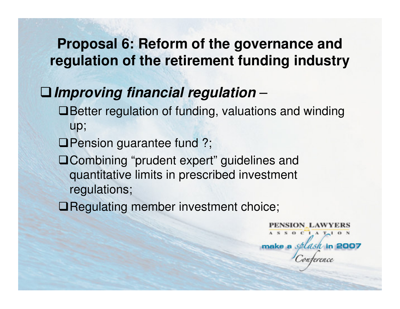#### **Improving financial regulation**–

- Better regulation of funding, valuations and winding up;
- **QPension guarantee fund ?;**
- □ Combining "prudent expert" guidelines and quantitative limits in prescribed investment regulations;
- **QRegulating member investment choice;**

PENSION LAWYERS ASSOCIATION make a splash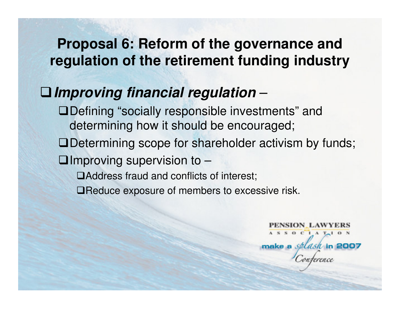#### **Improving financial regulation**–

 Defining "socially responsible investments" and determining how it should be encouraged;

Determining scope for shareholder activism by funds;

 $\Box$ Improving supervision to  $-$ 

Address fraud and conflicts of interest;

□Reduce exposure of members to excessive risk.

PENSION LAWYERS  $S$  O C  $1$  A  $T-1$  O N make a splash in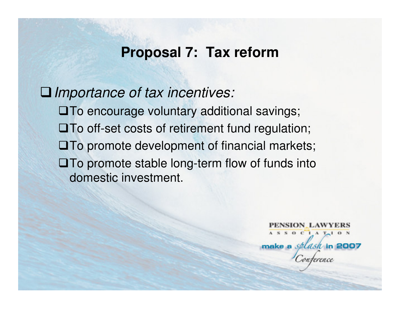### **Proposal 7: Tax reform**

□ Importance of tax incentives: To encourage voluntary additional savings; $\square$  To off-set costs of retirement fund regulation;  $\square$  To promote development of financial markets;  $\square$  To promote stable long-term flow of funds into domestic investment.

> PENSION LAWYERS ASSOCIATION make a splash in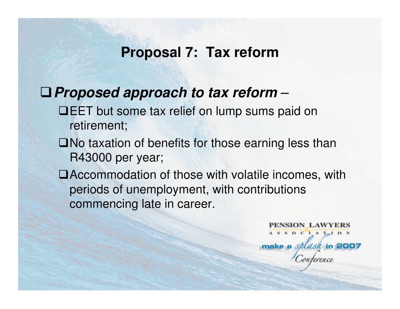### **Proposal 7: Tax reform**

#### **Proposed approach to tax reform**–

- **QEET** but some tax relief on lump sums paid on retirement;
- $\square$  No taxation of benefits for those earning less than R43000 per year;
- Accommodation of those with volatile incomes, with periods of unemployment, with contributions commencing late in career.

PENSION LAWYERS  $A S S 0 C 1 A T<sub>1</sub> 0 N$ make a *splasil* in 2007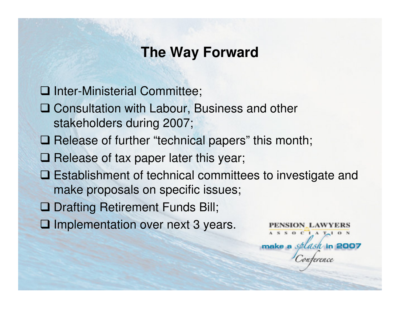### **The Way Forward**

Inter-Ministerial Committee;

- □ Consultation with Labour, Business and other<br>stakeholders during 2007: stakeholders during 2007;
- □ Release of further "technical papers" this month;
- Release of tax paper later this year;
- **□ Establishment of technical committees to investigate and make proposals on specific issues:** make proposals on specific issues;
- **Q Drafting Retirement Funds Bill;**
- **□ Implementation over next 3 years.**

SION LAWYERS  $S$  O C I A T<sub>r</sub> I O N make a splash in